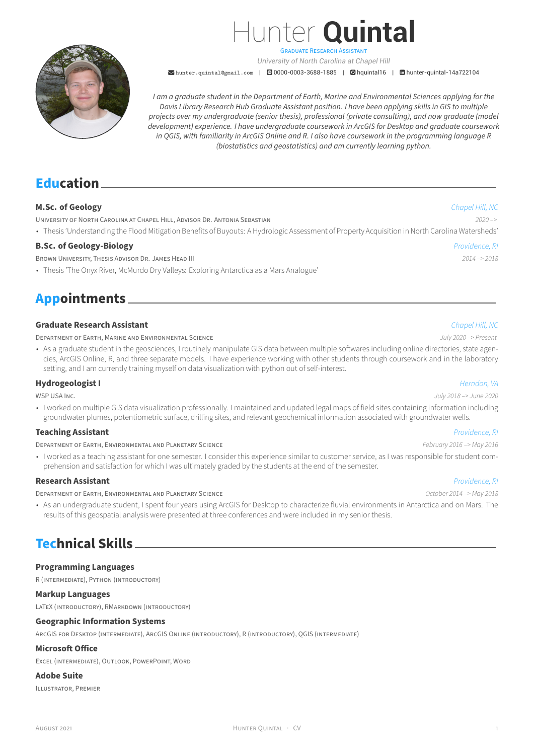

Hunter **Quintal** GRADUATE RESEARCH ASSiSTANT

*University of North Carolina at Chapel Hill*

**Mediam** hunter.quintal@gmail.com | 20000-0003-3688-1885 | 2hquintal16 | mhunter-quintal-14a722104

*I am a graduate student in the Department of Earth, Marine and Environmental Sciences applying for the Davis Library Research Hub Graduate Assistant position. I have been applying skills in GIS to multiple projects [over my undergraduate](mailto:hunter.quintal@gmail.com) (se[nior thesis\), profession](https://orcid.org/0000-0003-3688-1885)al([private cons](https://github.com/hquintal16)ulti[ng\), and now graduate \(m](https://www.linkedin.com/in/hunter-quintal-14a722104)odel development) experience. I have undergraduate coursework in ArcGIS for Desktop and graduate coursework in QGIS, with familiarity in ArcGIS Online and R. I also have coursework in the programming language R (biostatistics and geostatistics) and am currently learning python.*

## **Education**

### **M.Sc. of Geology** *Chapel Hill, NC*

UNiVERSiTY OF NORTH CAROLiNA AT CHAPEL HiLL, ADViSOR DR. ANTONiA SEBASTiAN *2020 –>*

• Thesis 'Understanding the Flood Mitigation Benefits of Buyouts: A Hydrologic Assessment of Property Acquisition in North Carolina Watersheds'

### **B.Sc. of Geology‑Biology** *Providence, RI*

BROWN UNiVERSiTY, THESiS ADViSOR DR. JAMES HEAD III *2014 –> 2018*

• Thesis 'The Onyx River, McMurdo Dry Valleys: Exploring Antarctica as a Mars Analogue'

## **Appointments**

### **Graduate Research Assistant** *Chapel Hill, NC*

DEPARTMENT OF EARTH, MARiNE AND ENViRONMENTAL SCiENCE *July 2020 –> Present*

• As a graduate student in the geosciences, I routinely manipulate GIS data between multiple softwares including online directories, state agencies, ArcGIS Online, R, and three separate models. I have experience working with other students through coursework and in the laboratory setting, and I am currently training myself on data visualization with python out of self-interest.

#### **Hydrogeologist I** *Herndon, VA*

• I worked on multiple GIS data visualization professionally. I maintained and updated legal maps of field sites containing information including groundwater plumes, potentiometric surface, drilling sites, and relevant geochemical information associated with groundwater wells.

### **Teaching Assistant** *Providence, RI*

#### DEPARTMENT OF EARTH, ENViRONMENTAL AND PLANETARY SCiENCE *February 2016 –> May 2016*

• I worked as a teaching assistant for one semester. I consider this experience similar to customer service, as I was responsible for student comprehension and satisfaction for which I was ultimately graded by the students at the end of the semester.

### **Research Assistant** *Providence, RI*

DEPARTMENT OF EARTH, ENViRONMENTAL AND PLANETARY SCiENCE *October 2014 –> May 2018*

• As an undergraduate student, I spent four years using ArcGIS for Desktop to characterize fluvial environments in Antarctica and on Mars. The results of this geospatial analysis were presented at three conferences and were included in my senior thesis.

## **Technical Skills**

#### **Programming Languages**

R (iNTERMEDiATE), PYTHON (iNTRODUCTORY)

#### **Markup Languages**

LATEX (iNTRODUCTORY), RMARKDOWN (iNTRODUCTORY)

#### **Geographic Information Systems**

ARCGIS FOR DESKTOP (iNTERMEDiATE), ARCGIS ONLiNE (iNTRODUCTORY), R (iNTRODUCTORY), QGIS (iNTERMEDiATE)

### **Microsoft Office**

EXCEL (iNTERMEDiATE), OUTLOOK, POWERPOiNT, WORD

#### **Adobe Suite**

ILLUSTRATOR, PREMiER

#### WSP USA INC. *July 2018 –> June 2020*